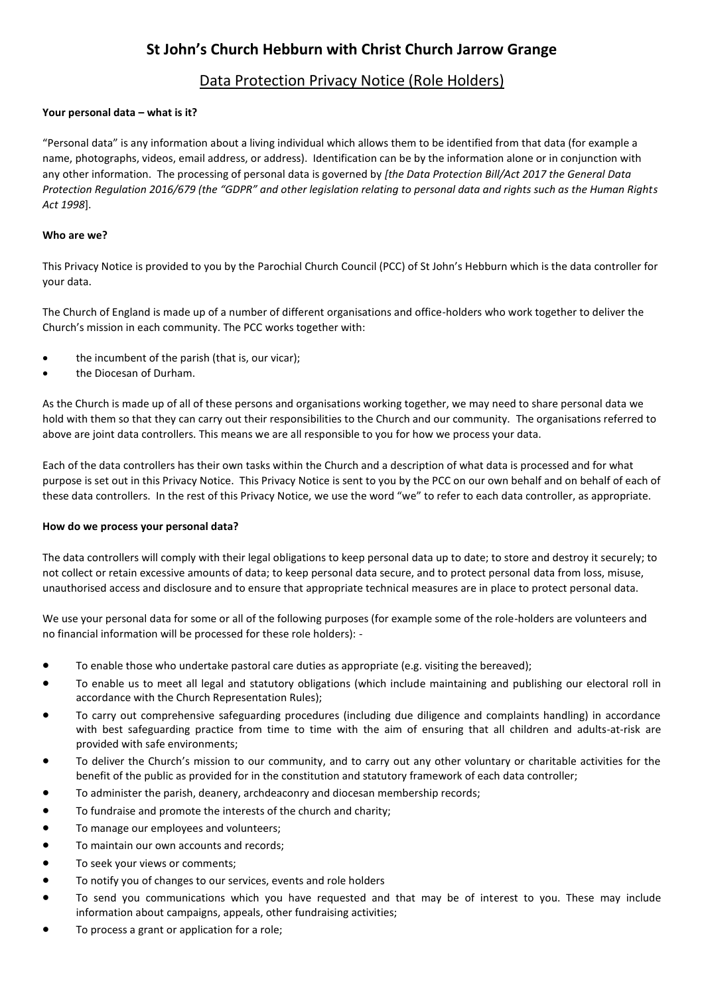# **St John's Church Hebburn with Christ Church Jarrow Grange**

# Data Protection Privacy Notice (Role Holders)

# **Your personal data – what is it?**

"Personal data" is any information about a living individual which allows them to be identified from that data (for example a name, photographs, videos, email address, or address). Identification can be by the information alone or in conjunction with any other information. The processing of personal data is governed by *[the Data Protection Bill/Act 2017 the General Data Protection Regulation 2016/679 (the "GDPR" and other legislation relating to personal data and rights such as the Human Rights Act 1998*].

### **Who are we?**

This Privacy Notice is provided to you by the Parochial Church Council (PCC) of St John's Hebburn which is the data controller for your data.

The Church of England is made up of a number of different organisations and office-holders who work together to deliver the Church's mission in each community. The PCC works together with:

- the incumbent of the parish (that is, our vicar);
- the Diocesan of Durham.

As the Church is made up of all of these persons and organisations working together, we may need to share personal data we hold with them so that they can carry out their responsibilities to the Church and our community. The organisations referred to above are joint data controllers. This means we are all responsible to you for how we process your data.

Each of the data controllers has their own tasks within the Church and a description of what data is processed and for what purpose is set out in this Privacy Notice. This Privacy Notice is sent to you by the PCC on our own behalf and on behalf of each of these data controllers. In the rest of this Privacy Notice, we use the word "we" to refer to each data controller, as appropriate.

#### **How do we process your personal data?**

The data controllers will comply with their legal obligations to keep personal data up to date; to store and destroy it securely; to not collect or retain excessive amounts of data; to keep personal data secure, and to protect personal data from loss, misuse, unauthorised access and disclosure and to ensure that appropriate technical measures are in place to protect personal data.

We use your personal data for some or all of the following purposes (for example some of the role-holders are volunteers and no financial information will be processed for these role holders): -

- To enable those who undertake pastoral care duties as appropriate (e.g. visiting the bereaved);
- To enable us to meet all legal and statutory obligations (which include maintaining and publishing our electoral roll in accordance with the Church Representation Rules);
- To carry out comprehensive safeguarding procedures (including due diligence and complaints handling) in accordance with best safeguarding practice from time to time with the aim of ensuring that all children and adults-at-risk are provided with safe environments;
- To deliver the Church's mission to our community, and to carry out any other voluntary or charitable activities for the benefit of the public as provided for in the constitution and statutory framework of each data controller;
- To administer the parish, deanery, archdeaconry and diocesan membership records;
- To fundraise and promote the interests of the church and charity;
- To manage our employees and volunteers;
- To maintain our own accounts and records;
- To seek your views or comments;
- To notify you of changes to our services, events and role holders
- To send you communications which you have requested and that may be of interest to you. These may include information about campaigns, appeals, other fundraising activities;
- To process a grant or application for a role;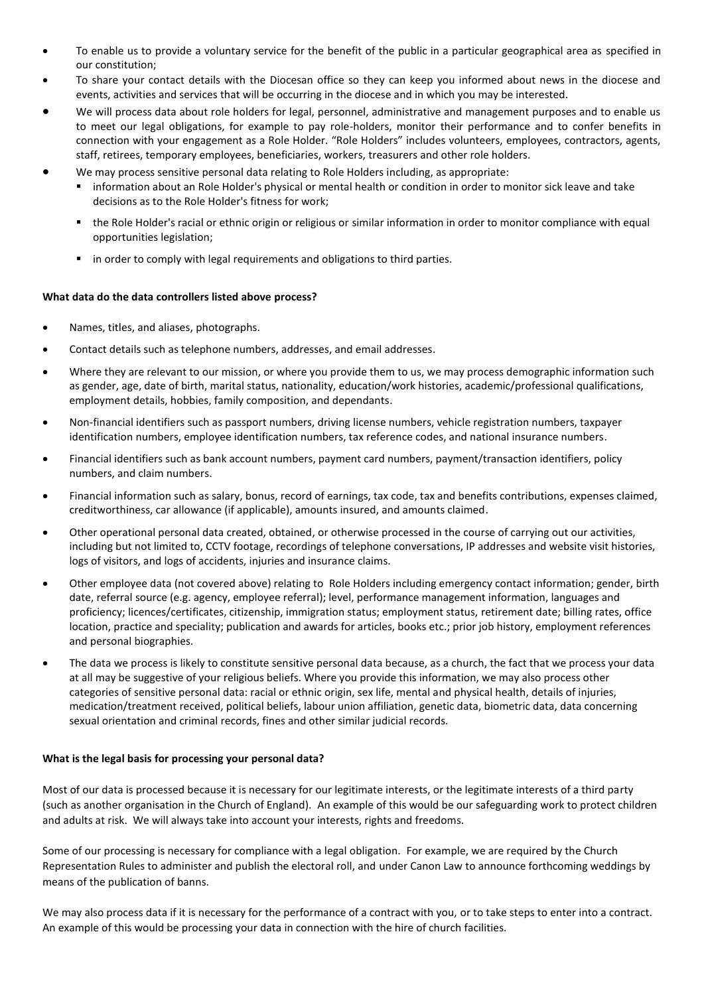- To enable us to provide a voluntary service for the benefit of the public in a particular geographical area as specified in our constitution;
- To share your contact details with the Diocesan office so they can keep you informed about news in the diocese and events, activities and services that will be occurring in the diocese and in which you may be interested.
- We will process data about role holders for legal, personnel, administrative and management purposes and to enable us to meet our legal obligations, for example to pay role-holders, monitor their performance and to confer benefits in connection with your engagement as a Role Holder. "Role Holders" includes volunteers, employees, contractors, agents, staff, retirees, temporary employees, beneficiaries, workers, treasurers and other role holders.
- We may process sensitive personal data relating to Role Holders including, as appropriate:
	- information about an Role Holder's physical or mental health or condition in order to monitor sick leave and take decisions as to the Role Holder's fitness for work;
	- the Role Holder's racial or ethnic origin or religious or similar information in order to monitor compliance with equal opportunities legislation;
	- **I** in order to comply with legal requirements and obligations to third parties.

# **What data do the data controllers listed above process?**

- Names, titles, and aliases, photographs.
- Contact details such as telephone numbers, addresses, and email addresses.
- Where they are relevant to our mission, or where you provide them to us, we may process demographic information such as gender, age, date of birth, marital status, nationality, education/work histories, academic/professional qualifications, employment details, hobbies, family composition, and dependants.
- Non-financial identifiers such as passport numbers, driving license numbers, vehicle registration numbers, taxpayer identification numbers, employee identification numbers, tax reference codes, and national insurance numbers.
- Financial identifiers such as bank account numbers, payment card numbers, payment/transaction identifiers, policy numbers, and claim numbers.
- Financial information such as salary, bonus, record of earnings, tax code, tax and benefits contributions, expenses claimed, creditworthiness, car allowance (if applicable), amounts insured, and amounts claimed.
- Other operational personal data created, obtained, or otherwise processed in the course of carrying out our activities, including but not limited to, CCTV footage, recordings of telephone conversations, IP addresses and website visit histories, logs of visitors, and logs of accidents, injuries and insurance claims.
- Other employee data (not covered above) relating to Role Holders including emergency contact information; gender, birth date, referral source (e.g. agency, employee referral); level, performance management information, languages and proficiency; licences/certificates, citizenship, immigration status; employment status, retirement date; billing rates, office location, practice and speciality; publication and awards for articles, books etc.; prior job history, employment references and personal biographies.
- The data we process is likely to constitute sensitive personal data because, as a church, the fact that we process your data at all may be suggestive of your religious beliefs. Where you provide this information, we may also process other categories of sensitive personal data: racial or ethnic origin, sex life, mental and physical health, details of injuries, medication/treatment received, political beliefs, labour union affiliation, genetic data, biometric data, data concerning sexual orientation and criminal records, fines and other similar judicial records.

#### **What is the legal basis for processing your personal data?**

Most of our data is processed because it is necessary for our legitimate interests, or the legitimate interests of a third party (such as another organisation in the Church of England). An example of this would be our safeguarding work to protect children and adults at risk. We will always take into account your interests, rights and freedoms.

Some of our processing is necessary for compliance with a legal obligation. For example, we are required by the Church Representation Rules to administer and publish the electoral roll, and under Canon Law to announce forthcoming weddings by means of the publication of banns.

We may also process data if it is necessary for the performance of a contract with you, or to take steps to enter into a contract. An example of this would be processing your data in connection with the hire of church facilities.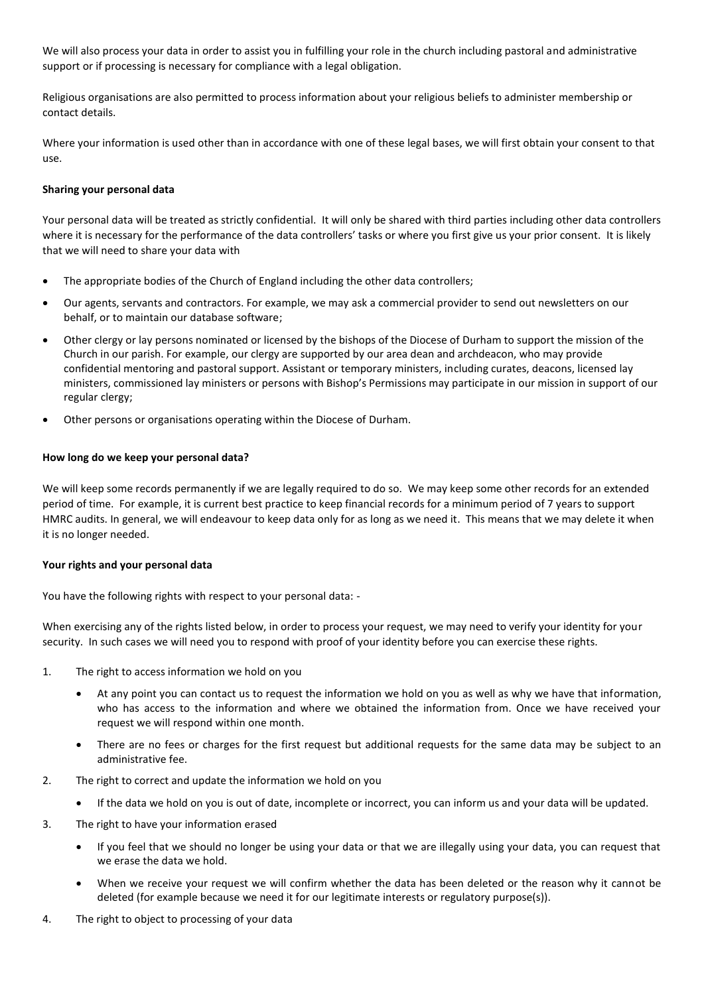We will also process your data in order to assist you in fulfilling your role in the church including pastoral and administrative support or if processing is necessary for compliance with a legal obligation.

Religious organisations are also permitted to process information about your religious beliefs to administer membership or contact details.

Where your information is used other than in accordance with one of these legal bases, we will first obtain your consent to that use.

#### **Sharing your personal data**

Your personal data will be treated as strictly confidential. It will only be shared with third parties including other data controllers where it is necessary for the performance of the data controllers' tasks or where you first give us your prior consent. It is likely that we will need to share your data with

- The appropriate bodies of the Church of England including the other data controllers;
- Our agents, servants and contractors. For example, we may ask a commercial provider to send out newsletters on our behalf, or to maintain our database software;
- Other clergy or lay persons nominated or licensed by the bishops of the Diocese of Durham to support the mission of the Church in our parish. For example, our clergy are supported by our area dean and archdeacon, who may provide confidential mentoring and pastoral support. Assistant or temporary ministers, including curates, deacons, licensed lay ministers, commissioned lay ministers or persons with Bishop's Permissions may participate in our mission in support of our regular clergy;
- Other persons or organisations operating within the Diocese of Durham.

#### **How long do we keep your personal data?**

We will keep some records permanently if we are legally required to do so. We may keep some other records for an extended period of time. For example, it is current best practice to keep financial records for a minimum period of 7 years to support HMRC audits. In general, we will endeavour to keep data only for as long as we need it. This means that we may delete it when it is no longer needed.

#### **Your rights and your personal data**

You have the following rights with respect to your personal data: -

When exercising any of the rights listed below, in order to process your request, we may need to verify your identity for your security. In such cases we will need you to respond with proof of your identity before you can exercise these rights.

- 1. The right to access information we hold on you
	- At any point you can contact us to request the information we hold on you as well as why we have that information, who has access to the information and where we obtained the information from. Once we have received your request we will respond within one month.
	- There are no fees or charges for the first request but additional requests for the same data may be subject to an administrative fee.
- 2. The right to correct and update the information we hold on you
	- If the data we hold on you is out of date, incomplete or incorrect, you can inform us and your data will be updated.
- 3. The right to have your information erased
	- If you feel that we should no longer be using your data or that we are illegally using your data, you can request that we erase the data we hold.
	- When we receive your request we will confirm whether the data has been deleted or the reason why it cannot be deleted (for example because we need it for our legitimate interests or regulatory purpose(s)).
- 4. The right to object to processing of your data